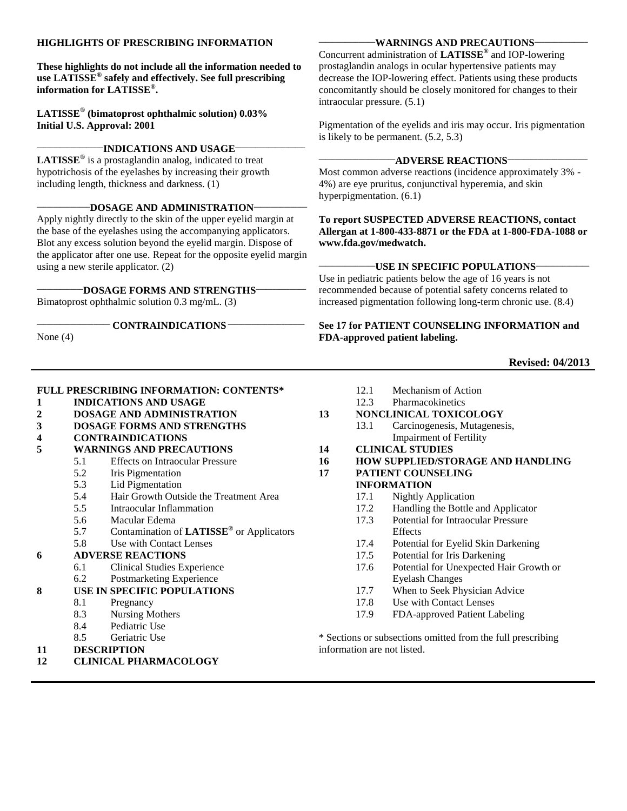#### **HIGHLIGHTS OF PRESCRIBING INFORMATION**

**These highlights do not include all the information needed to use LATISSE® safely and effectively. See full prescribing information for LATISSE® .** 

**LATISSE® (bimatoprost ophthalmic solution) 0.03% Initial U.S. Approval: 2001**

#### **\_\_\_\_\_\_\_\_\_\_\_\_\_\_\_\_\_\_\_\_INDICATIONS AND USAGE\_\_\_\_\_\_\_\_\_\_\_\_\_\_\_\_\_\_\_\_\_**

**LATISSE®** is a prostaglandin analog, indicated to treat hypotrichosis of the eyelashes by increasing their growth including length, thickness and darkness. (1)

#### **\_\_\_\_\_\_\_\_\_\_\_\_\_\_\_\_DOSAGE AND ADMINISTRATION\_\_\_\_\_\_\_\_\_\_\_\_\_\_\_\_**

Apply nightly directly to the skin of the upper eyelid margin at the base of the eyelashes using the accompanying applicators. Blot any excess solution beyond the eyelid margin. Dispose of the applicator after one use. Repeat for the opposite eyelid margin using a new sterile applicator. (2)

#### **\_\_\_\_\_\_\_\_\_\_\_\_\_\_DOSAGE FORMS AND STRENGTHS\_\_\_\_\_\_\_\_\_\_\_\_\_\_\_**

Bimatoprost ophthalmic solution 0.3 mg/mL. (3)

#### **\_\_\_\_\_\_\_\_\_\_\_\_\_\_\_\_\_\_\_\_\_\_ CONTRAINDICATIONS \_\_\_\_\_\_\_\_\_\_\_\_\_\_\_\_\_\_\_\_\_\_\_**

None (4)

#### **\_\_\_\_\_\_\_\_\_\_\_\_\_\_\_\_\_WARNINGS AND PRECAUTIONS\_\_\_\_\_\_\_\_\_\_\_\_\_\_\_\_**

Concurrent administration of **LATISSE®** and IOP-lowering prostaglandin analogs in ocular hypertensive patients may decrease the IOP-lowering effect. Patients using these products concomitantly should be closely monitored for changes to their intraocular pressure. (5.1)

Pigmentation of the eyelids and iris may occur. Iris pigmentation is likely to be permanent. (5.2, 5.3)

#### **\_\_\_\_\_\_\_\_\_\_\_\_\_\_\_\_\_\_\_\_\_\_\_ADVERSE REACTIONS\_\_\_\_\_\_\_\_\_\_\_\_\_\_\_\_\_\_\_\_\_\_\_\_**

Most common adverse reactions (incidence approximately 3% - 4%) are eye pruritus, conjunctival hyperemia, and skin hyperpigmentation. (6.1)

**To report SUSPECTED ADVERSE REACTIONS, contact Allergan at 1-800-433-8871 or the FDA at 1-800-FDA-1088 or www.fda.gov/medwatch.**

#### **\_\_\_\_\_\_\_\_\_\_\_\_\_\_\_\_\_USE IN SPECIFIC POPULATIONS\_\_\_\_\_\_\_\_\_\_\_\_\_\_\_\_**

Use in pediatric patients below the age of 16 years is not recommended because of potential safety concerns related to increased pigmentation following long-term chronic use. (8.4)

**See 17 for PATIENT COUNSELING INFORMATION and FDA-approved patient labeling.**

#### **Revised: 04/2013**

#### **FULL PRESCRIBING INFORMATION: CONTENTS\***

- **1 INDICATIONS AND USAGE**
- **2 DOSAGE AND ADMINISTRATION**
- **3 DOSAGE FORMS AND STRENGTHS**
- **4 CONTRAINDICATIONS**
- **5 WARNINGS AND PRECAUTIONS**
	- 5.1 Effects on Intraocular Pressure
	- 5.2 Iris Pigmentation
	- 5.3 Lid Pigmentation<br>5.4 Hair Growth Outs
	- 5.4 Hair Growth Outside the Treatment Area
	- 5.5 Intraocular Inflammation
	- 5.6 Macular Edema
	- 5.7 Contamination of **LATISSE®** or Applicators
	- 5.8 Use with Contact Lenses

#### **6 ADVERSE REACTIONS**

- 6.1 Clinical Studies Experience
- 6.2 Postmarketing Experience
- **8 USE IN SPECIFIC POPULATIONS**
	- 8.1 Pregnancy
	- 8.3 Nursing Mothers
	- 8.4 Pediatric Use
	- 8.5 Geriatric Use
- **11 DESCRIPTION**
- **12 CLINICAL PHARMACOLOGY**

12.1 Mechanism of Action 12.3 Pharmacokinetics **13 NONCLINICAL TOXICOLOGY** 13.1 Carcinogenesis, Mutagenesis, Impairment of Fertility **14 CLINICAL STUDIES 16 HOW SUPPLIED/STORAGE AND HANDLING 17 PATIENT COUNSELING INFORMATION** 17.1 Nightly Application 17.2 Handling the Bottle and Applicator 17.3 Potential for Intraocular Pressure **Effects** 17.4 Potential for Eyelid Skin Darkening 17.5 Potential for Iris Darkening 17.6 Potential for Unexpected Hair Growth or Eyelash Changes 17.7 When to Seek Physician Advice 17.8 Use with Contact Lenses 17.9 FDA-approved Patient Labeling \* Sections or subsections omitted from the full prescribing

information are not listed.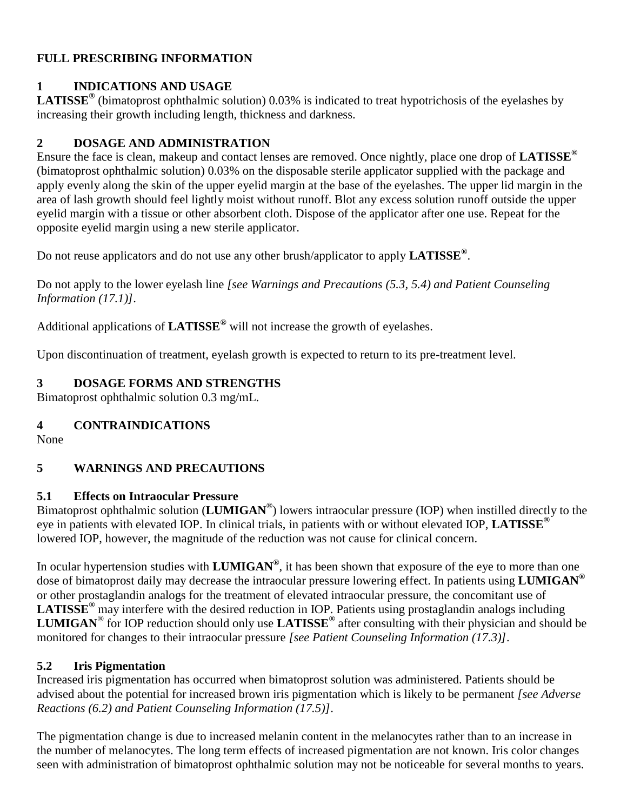#### **FULL PRESCRIBING INFORMATION**

#### **1 INDICATIONS AND USAGE**

**LATISSE®** (bimatoprost ophthalmic solution) 0.03% is indicated to treat hypotrichosis of the eyelashes by increasing their growth including length, thickness and darkness.

#### **2 DOSAGE AND ADMINISTRATION**

Ensure the face is clean, makeup and contact lenses are removed. Once nightly, place one drop of **LATISSE®** (bimatoprost ophthalmic solution) 0.03% on the disposable sterile applicator supplied with the package and apply evenly along the skin of the upper eyelid margin at the base of the eyelashes. The upper lid margin in the area of lash growth should feel lightly moist without runoff. Blot any excess solution runoff outside the upper eyelid margin with a tissue or other absorbent cloth. Dispose of the applicator after one use. Repeat for the opposite eyelid margin using a new sterile applicator.

Do not reuse applicators and do not use any other brush/applicator to apply **LATISSE®** .

Do not apply to the lower eyelash line *[see Warnings and Precautions (5.3, 5.4) and Patient Counseling Information (17.1)]*.

Additional applications of **LATISSE®** will not increase the growth of eyelashes.

Upon discontinuation of treatment, eyelash growth is expected to return to its pre-treatment level.

## **3 DOSAGE FORMS AND STRENGTHS**

Bimatoprost ophthalmic solution 0.3 mg/mL.

## **4 CONTRAINDICATIONS**

None

## **5 WARNINGS AND PRECAUTIONS**

#### **5.1 Effects on Intraocular Pressure**

Bimatoprost ophthalmic solution (**LUMIGAN®** ) lowers intraocular pressure (IOP) when instilled directly to the eye in patients with elevated IOP. In clinical trials, in patients with or without elevated IOP, **LATISSE®** lowered IOP, however, the magnitude of the reduction was not cause for clinical concern.

In ocular hypertension studies with **LUMIGAN®** , it has been shown that exposure of the eye to more than one dose of bimatoprost daily may decrease the intraocular pressure lowering effect. In patients using **LUMIGAN®** or other prostaglandin analogs for the treatment of elevated intraocular pressure, the concomitant use of **LATISSE®** may interfere with the desired reduction in IOP. Patients using prostaglandin analogs including **LUMIGAN**® for IOP reduction should only use **LATISSE®** after consulting with their physician and should be monitored for changes to their intraocular pressure *[see Patient Counseling Information (17.3)]*.

## **5.2 Iris Pigmentation**

Increased iris pigmentation has occurred when bimatoprost solution was administered. Patients should be advised about the potential for increased brown iris pigmentation which is likely to be permanent *[see Adverse Reactions (6.2) and Patient Counseling Information (17.5)]*.

The pigmentation change is due to increased melanin content in the melanocytes rather than to an increase in the number of melanocytes. The long term effects of increased pigmentation are not known. Iris color changes seen with administration of bimatoprost ophthalmic solution may not be noticeable for several months to years.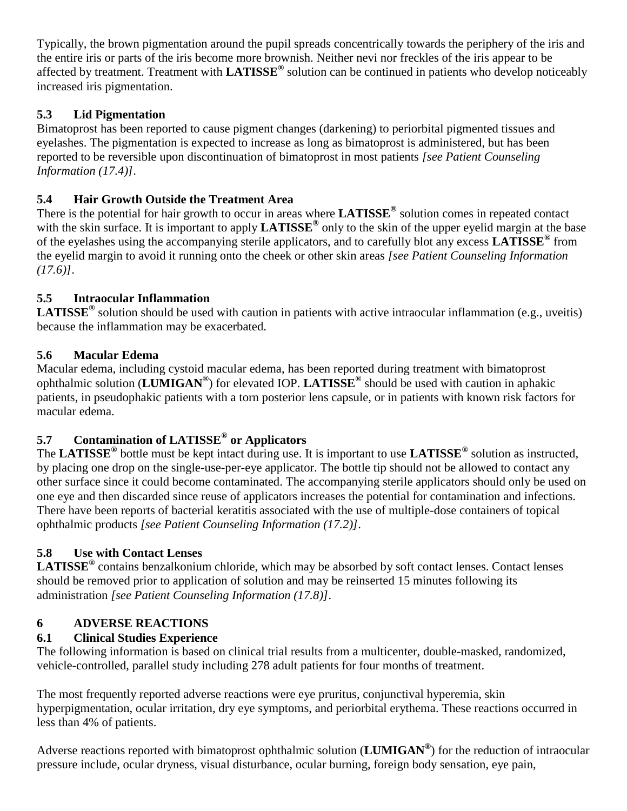Typically, the brown pigmentation around the pupil spreads concentrically towards the periphery of the iris and the entire iris or parts of the iris become more brownish. Neither nevi nor freckles of the iris appear to be affected by treatment. Treatment with **LATISSE®** solution can be continued in patients who develop noticeably increased iris pigmentation.

# **5.3 Lid Pigmentation**

Bimatoprost has been reported to cause pigment changes (darkening) to periorbital pigmented tissues and eyelashes. The pigmentation is expected to increase as long as bimatoprost is administered, but has been reported to be reversible upon discontinuation of bimatoprost in most patients *[see Patient Counseling Information (17.4)]*.

## **5.4 Hair Growth Outside the Treatment Area**

There is the potential for hair growth to occur in areas where **LATISSE®** solution comes in repeated contact with the skin surface. It is important to apply **LATISSE®** only to the skin of the upper eyelid margin at the base of the eyelashes using the accompanying sterile applicators, and to carefully blot any excess **LATISSE®** from the eyelid margin to avoid it running onto the cheek or other skin areas *[see Patient Counseling Information (17.6)]*.

## **5.5 Intraocular Inflammation**

**LATISSE®** solution should be used with caution in patients with active intraocular inflammation (e.g., uveitis) because the inflammation may be exacerbated.

## **5.6 Macular Edema**

Macular edema, including cystoid macular edema, has been reported during treatment with bimatoprost ophthalmic solution (**LUMIGAN®** ) for elevated IOP. **LATISSE®** should be used with caution in aphakic patients, in pseudophakic patients with a torn posterior lens capsule, or in patients with known risk factors for macular edema.

# **5.7 Contamination of LATISSE® or Applicators**

The **LATISSE®** bottle must be kept intact during use. It is important to use **LATISSE®** solution as instructed, by placing one drop on the single-use-per-eye applicator. The bottle tip should not be allowed to contact any other surface since it could become contaminated. The accompanying sterile applicators should only be used on one eye and then discarded since reuse of applicators increases the potential for contamination and infections. There have been reports of bacterial keratitis associated with the use of multiple-dose containers of topical ophthalmic products *[see Patient Counseling Information (17.2)]*.

# **5.8 Use with Contact Lenses**

**LATISSE®** contains benzalkonium chloride, which may be absorbed by soft contact lenses. Contact lenses should be removed prior to application of solution and may be reinserted 15 minutes following its administration *[see Patient Counseling Information (17.8)]*.

## **6 ADVERSE REACTIONS**

# **6.1 Clinical Studies Experience**

The following information is based on clinical trial results from a multicenter, double-masked, randomized, vehicle-controlled, parallel study including 278 adult patients for four months of treatment.

The most frequently reported adverse reactions were eye pruritus, conjunctival hyperemia, skin hyperpigmentation, ocular irritation, dry eye symptoms, and periorbital erythema. These reactions occurred in less than 4% of patients.

Adverse reactions reported with bimatoprost ophthalmic solution (**LUMIGAN®** ) for the reduction of intraocular pressure include, ocular dryness, visual disturbance, ocular burning, foreign body sensation, eye pain,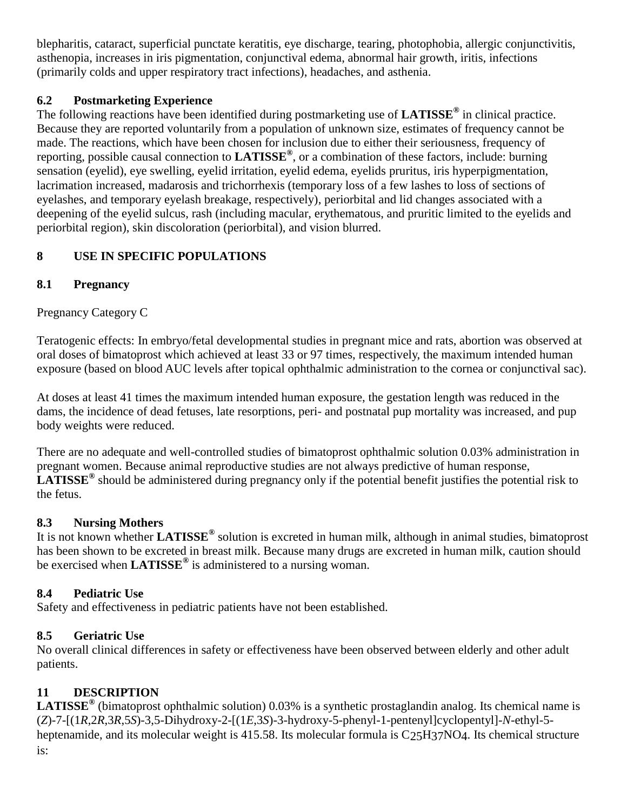blepharitis, cataract, superficial punctate keratitis, eye discharge, tearing, photophobia, allergic conjunctivitis, asthenopia, increases in iris pigmentation, conjunctival edema, abnormal hair growth, iritis, infections (primarily colds and upper respiratory tract infections), headaches, and asthenia.

# **6.2 Postmarketing Experience**

The following reactions have been identified during postmarketing use of **LATISSE®** in clinical practice. Because they are reported voluntarily from a population of unknown size, estimates of frequency cannot be made. The reactions, which have been chosen for inclusion due to either their seriousness, frequency of reporting, possible causal connection to **LATISSE®** , or a combination of these factors, include: burning sensation (eyelid), eye swelling, eyelid irritation, eyelid edema, eyelids pruritus, iris hyperpigmentation, lacrimation increased, madarosis and trichorrhexis (temporary loss of a few lashes to loss of sections of eyelashes, and temporary eyelash breakage, respectively), periorbital and lid changes associated with a deepening of the eyelid sulcus, rash (including macular, erythematous, and pruritic limited to the eyelids and periorbital region), skin discoloration (periorbital), and vision blurred.

# **8 USE IN SPECIFIC POPULATIONS**

## **8.1 Pregnancy**

Pregnancy Category C

Teratogenic effects: In embryo/fetal developmental studies in pregnant mice and rats, abortion was observed at oral doses of bimatoprost which achieved at least 33 or 97 times, respectively, the maximum intended human exposure (based on blood AUC levels after topical ophthalmic administration to the cornea or conjunctival sac).

At doses at least 41 times the maximum intended human exposure, the gestation length was reduced in the dams, the incidence of dead fetuses, late resorptions, peri- and postnatal pup mortality was increased, and pup body weights were reduced.

There are no adequate and well-controlled studies of bimatoprost ophthalmic solution 0.03% administration in pregnant women. Because animal reproductive studies are not always predictive of human response, **LATISSE®** should be administered during pregnancy only if the potential benefit justifies the potential risk to the fetus.

## **8.3 Nursing Mothers**

It is not known whether **LATISSE®** solution is excreted in human milk, although in animal studies, bimatoprost has been shown to be excreted in breast milk. Because many drugs are excreted in human milk, caution should be exercised when **LATISSE®** is administered to a nursing woman.

# **8.4 Pediatric Use**

Safety and effectiveness in pediatric patients have not been established.

# **8.5 Geriatric Use**

No overall clinical differences in safety or effectiveness have been observed between elderly and other adult patients.

# **11 DESCRIPTION**

**LATISSE®** (bimatoprost ophthalmic solution) 0.03% is a synthetic prostaglandin analog. Its chemical name is (*Z*)-7-[(1*R*,2*R*,3*R*,5*S*)-3,5-Dihydroxy-2-[(1*E*,3*S*)-3-hydroxy-5-phenyl-1-pentenyl]cyclopentyl]-*N*-ethyl-5 heptenamide, and its molecular weight is 415.58. Its molecular formula is  $C_{25}H_{37}NO<sub>4</sub>$ . Its chemical structure is: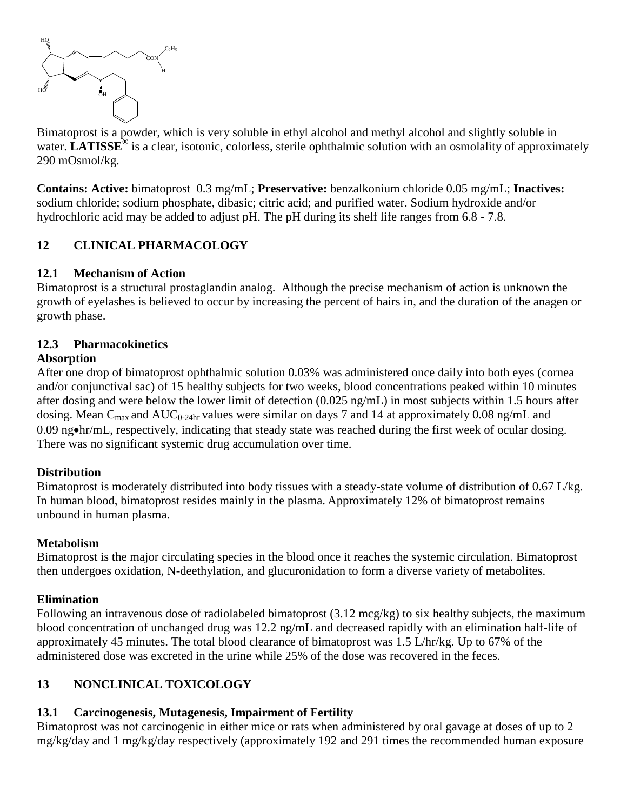

Bimatoprost is a powder, which is very soluble in ethyl alcohol and methyl alcohol and slightly soluble in water. **LATISSE<sup>®</sup>** is a clear, isotonic, colorless, sterile ophthalmic solution with an osmolality of approximately 290 mOsmol/kg.

**Contains: Active:** bimatoprost 0.3 mg/mL; **Preservative:** benzalkonium chloride 0.05 mg/mL; **Inactives:** sodium chloride; sodium phosphate, dibasic; citric acid; and purified water. Sodium hydroxide and/or hydrochloric acid may be added to adjust pH. The pH during its shelf life ranges from 6.8 - 7.8.

## **12 CLINICAL PHARMACOLOGY**

#### **12.1 Mechanism of Action**

Bimatoprost is a structural prostaglandin analog. Although the precise mechanism of action is unknown the growth of eyelashes is believed to occur by increasing the percent of hairs in, and the duration of the anagen or growth phase.

## **12.3 Pharmacokinetics**

#### **Absorption**

After one drop of bimatoprost ophthalmic solution 0.03% was administered once daily into both eyes (cornea and/or conjunctival sac) of 15 healthy subjects for two weeks, blood concentrations peaked within 10 minutes after dosing and were below the lower limit of detection (0.025 ng/mL) in most subjects within 1.5 hours after dosing. Mean  $C_{\text{max}}$  and  $AUC_{0-24hr}$  values were similar on days 7 and 14 at approximately 0.08 ng/mL and 0.09 ng•hr/mL, respectively, indicating that steady state was reached during the first week of ocular dosing. There was no significant systemic drug accumulation over time.

## **Distribution**

Bimatoprost is moderately distributed into body tissues with a steady-state volume of distribution of 0.67 L/kg. In human blood, bimatoprost resides mainly in the plasma. Approximately 12% of bimatoprost remains unbound in human plasma.

#### **Metabolism**

Bimatoprost is the major circulating species in the blood once it reaches the systemic circulation. Bimatoprost then undergoes oxidation, N-deethylation, and glucuronidation to form a diverse variety of metabolites.

#### **Elimination**

Following an intravenous dose of radiolabeled bimatoprost (3.12 mcg/kg) to six healthy subjects, the maximum blood concentration of unchanged drug was 12.2 ng/mL and decreased rapidly with an elimination half-life of approximately 45 minutes. The total blood clearance of bimatoprost was 1.5 L/hr/kg. Up to 67% of the administered dose was excreted in the urine while 25% of the dose was recovered in the feces.

# **13 NONCLINICAL TOXICOLOGY**

## **13.1 Carcinogenesis, Mutagenesis, Impairment of Fertility**

Bimatoprost was not carcinogenic in either mice or rats when administered by oral gavage at doses of up to 2 mg/kg/day and 1 mg/kg/day respectively (approximately 192 and 291 times the recommended human exposure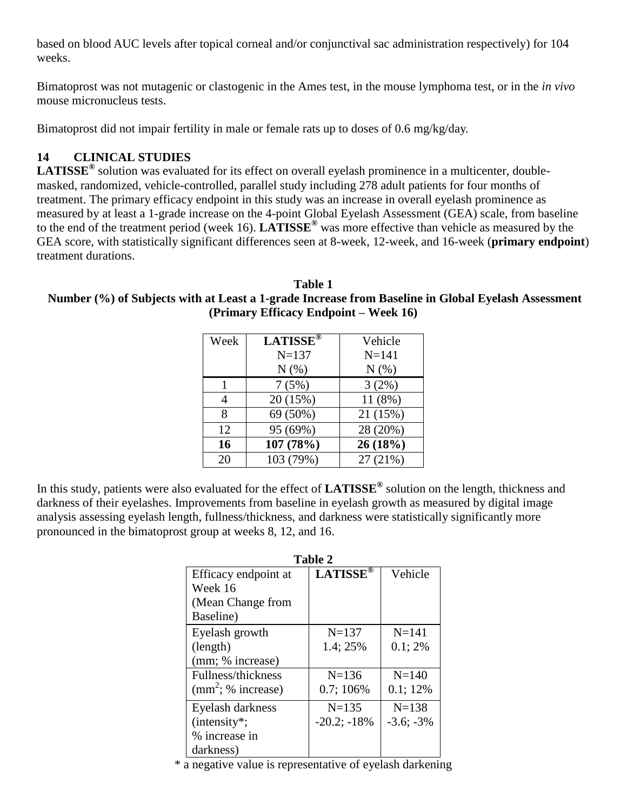based on blood AUC levels after topical corneal and/or conjunctival sac administration respectively) for 104 weeks.

Bimatoprost was not mutagenic or clastogenic in the Ames test, in the mouse lymphoma test, or in the *in vivo* mouse micronucleus tests.

Bimatoprost did not impair fertility in male or female rats up to doses of 0.6 mg/kg/day.

## **14 CLINICAL STUDIES**

**LATISSE®** solution was evaluated for its effect on overall eyelash prominence in a multicenter, doublemasked, randomized, vehicle-controlled, parallel study including 278 adult patients for four months of treatment. The primary efficacy endpoint in this study was an increase in overall eyelash prominence as measured by at least a 1-grade increase on the 4-point Global Eyelash Assessment (GEA) scale, from baseline to the end of the treatment period (week 16). **LATISSE®** was more effective than vehicle as measured by the GEA score, with statistically significant differences seen at 8-week, 12-week, and 16-week (**primary endpoint**) treatment durations.

**Table 1 Number (%) of Subjects with at Least a 1-grade Increase from Baseline in Global Eyelash Assessment (Primary Efficacy Endpoint – Week 16)**

| Week | <b>LATISSE®</b> | Vehicle   |
|------|-----------------|-----------|
|      | $N = 137$       | $N = 141$ |
|      | N(% )           | N(%)      |
|      | 7(5%)           | 3(2%)     |
| 4    | 20 (15%)        | 11 (8%)   |
| 8    | 69 (50%)        | 21 (15%)  |
| 12   | 95 (69%)        | 28 (20%)  |
| 16   | 107 (78%)       | 26(18%)   |
| 20   | 103 (79%)       | 27 (21%)  |

In this study, patients were also evaluated for the effect of **LATISSE®** solution on the length, thickness and darkness of their eyelashes. Improvements from baseline in eyelash growth as measured by digital image analysis assessing eyelash length, fullness/thickness, and darkness were statistically significantly more pronounced in the bimatoprost group at weeks 8, 12, and 16.

| <b>Table 2</b>       |                 |                 |  |  |
|----------------------|-----------------|-----------------|--|--|
| Efficacy endpoint at | <b>LATISSE®</b> | Vehicle         |  |  |
| Week 16              |                 |                 |  |  |
| (Mean Change from    |                 |                 |  |  |
| Baseline)            |                 |                 |  |  |
| Eyelash growth       | $N = 137$       | $N = 141$       |  |  |
| (length)             | 1.4; 25%        | 0.1;2%          |  |  |
| (mm; % increase)     |                 |                 |  |  |
| Fullness/thickness   | $N = 136$       | $N = 140$       |  |  |
| $(mm^2; %$ increase) | 0.7; 106%       | 0.1; 12%        |  |  |
| Eyelash darkness     | $N = 135$       | $N=138$         |  |  |
| $(intensity^*;$      | $-20.2; -18%$   | $-3.6$ ; $-3\%$ |  |  |
| % increase in        |                 |                 |  |  |
| darkness)            |                 |                 |  |  |

\* a negative value is representative of eyelash darkening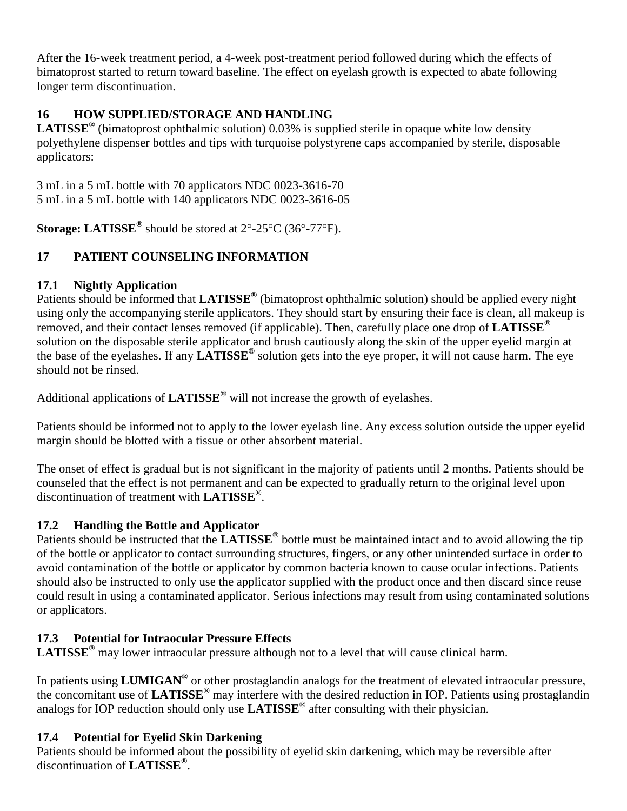After the 16-week treatment period, a 4-week post-treatment period followed during which the effects of bimatoprost started to return toward baseline. The effect on eyelash growth is expected to abate following longer term discontinuation.

# **16 HOW SUPPLIED/STORAGE AND HANDLING**

**LATISSE®** (bimatoprost ophthalmic solution) 0.03% is supplied sterile in opaque white low density polyethylene dispenser bottles and tips with turquoise polystyrene caps accompanied by sterile, disposable applicators:

3 mL in a 5 mL bottle with 70 applicators NDC 0023-3616-70 5 mL in a 5 mL bottle with 140 applicators NDC 0023-3616-05

Storage: LATISSE<sup>®</sup> should be stored at 2°-25°C (36°-77°F).

# **17 PATIENT COUNSELING INFORMATION**

## **17.1 Nightly Application**

Patients should be informed that **LATISSE®** (bimatoprost ophthalmic solution) should be applied every night using only the accompanying sterile applicators. They should start by ensuring their face is clean, all makeup is removed, and their contact lenses removed (if applicable). Then, carefully place one drop of **LATISSE®** solution on the disposable sterile applicator and brush cautiously along the skin of the upper eyelid margin at the base of the eyelashes. If any **LATISSE®** solution gets into the eye proper, it will not cause harm. The eye should not be rinsed.

Additional applications of **LATISSE®** will not increase the growth of eyelashes.

Patients should be informed not to apply to the lower eyelash line. Any excess solution outside the upper eyelid margin should be blotted with a tissue or other absorbent material.

The onset of effect is gradual but is not significant in the majority of patients until 2 months. Patients should be counseled that the effect is not permanent and can be expected to gradually return to the original level upon discontinuation of treatment with **LATISSE®** .

# **17.2 Handling the Bottle and Applicator**

Patients should be instructed that the **LATISSE®** bottle must be maintained intact and to avoid allowing the tip of the bottle or applicator to contact surrounding structures, fingers, or any other unintended surface in order to avoid contamination of the bottle or applicator by common bacteria known to cause ocular infections. Patients should also be instructed to only use the applicator supplied with the product once and then discard since reuse could result in using a contaminated applicator. Serious infections may result from using contaminated solutions or applicators.

# **17.3 Potential for Intraocular Pressure Effects**

**LATISSE®** may lower intraocular pressure although not to a level that will cause clinical harm.

In patients using **LUMIGAN®** or other prostaglandin analogs for the treatment of elevated intraocular pressure, the concomitant use of **LATISSE®** may interfere with the desired reduction in IOP. Patients using prostaglandin analogs for IOP reduction should only use **LATISSE®** after consulting with their physician.

# **17.4 Potential for Eyelid Skin Darkening**

Patients should be informed about the possibility of eyelid skin darkening, which may be reversible after discontinuation of **LATISSE®** .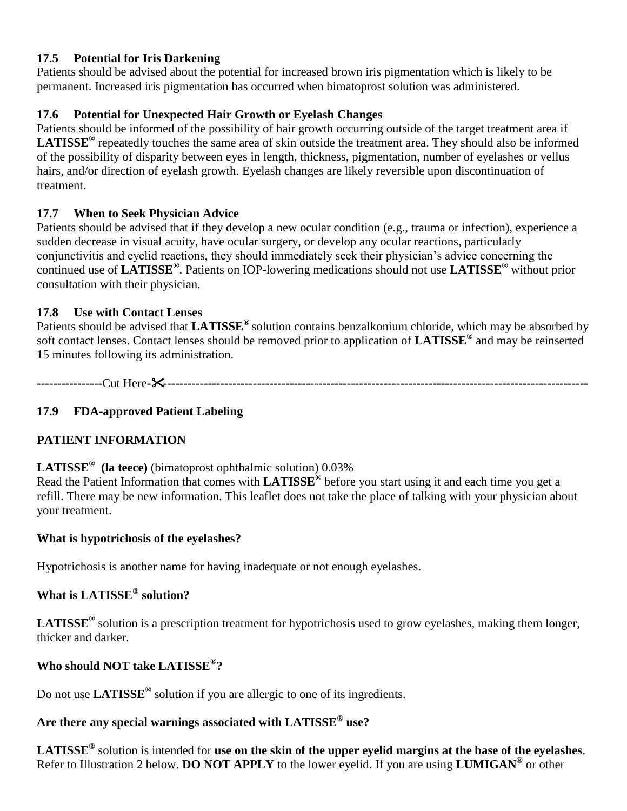#### **17.5 Potential for Iris Darkening**

Patients should be advised about the potential for increased brown iris pigmentation which is likely to be permanent. Increased iris pigmentation has occurred when bimatoprost solution was administered.

## **17.6 Potential for Unexpected Hair Growth or Eyelash Changes**

Patients should be informed of the possibility of hair growth occurring outside of the target treatment area if **LATISSE®** repeatedly touches the same area of skin outside the treatment area. They should also be informed of the possibility of disparity between eyes in length, thickness, pigmentation, number of eyelashes or vellus hairs, and/or direction of eyelash growth. Eyelash changes are likely reversible upon discontinuation of treatment.

## **17.7 When to Seek Physician Advice**

Patients should be advised that if they develop a new ocular condition (e.g., trauma or infection), experience a sudden decrease in visual acuity, have ocular surgery, or develop any ocular reactions, particularly conjunctivitis and eyelid reactions, they should immediately seek their physician's advice concerning the continued use of **LATISSE®** . Patients on IOP-lowering medications should not use **LATISSE®** without prior consultation with their physician.

## **17.8 Use with Contact Lenses**

Patients should be advised that **LATISSE®** solution contains benzalkonium chloride, which may be absorbed by soft contact lenses. Contact lenses should be removed prior to application of **LATISSE®** and may be reinserted 15 minutes following its administration.

**----------------**Cut Here**---------------------------------------------------------------------------------------------------------**

# **17.9 FDA-approved Patient Labeling**

# **PATIENT INFORMATION**

## **LATISSE® (la teece)** (bimatoprost ophthalmic solution) 0.03%

Read the Patient Information that comes with **LATISSE®** before you start using it and each time you get a refill. There may be new information. This leaflet does not take the place of talking with your physician about your treatment.

#### **What is hypotrichosis of the eyelashes?**

Hypotrichosis is another name for having inadequate or not enough eyelashes.

## **What is LATISSE® solution?**

**LATISSE®** solution is a prescription treatment for hypotrichosis used to grow eyelashes, making them longer, thicker and darker.

## **Who should NOT take LATISSE® ?**

Do not use **LATISSE®** solution if you are allergic to one of its ingredients.

## **Are there any special warnings associated with LATISSE® use?**

**LATISSE®** solution is intended for **use on the skin of the upper eyelid margins at the base of the eyelashes**. Refer to Illustration 2 below. **DO NOT APPLY** to the lower eyelid. If you are using **LUMIGAN®** or other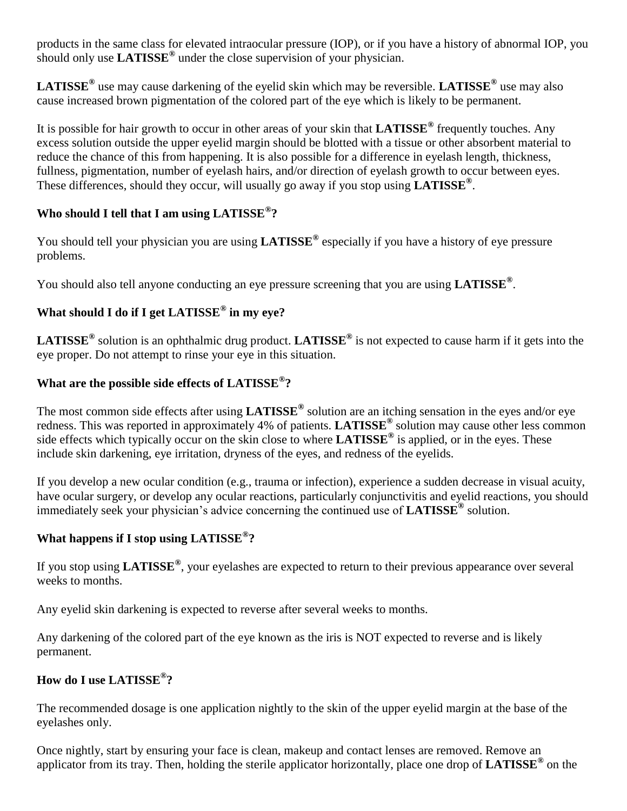products in the same class for elevated intraocular pressure (IOP), or if you have a history of abnormal IOP, you should only use **LATISSE®** under the close supervision of your physician.

**LATISSE®** use may cause darkening of the eyelid skin which may be reversible. **LATISSE®** use may also cause increased brown pigmentation of the colored part of the eye which is likely to be permanent.

It is possible for hair growth to occur in other areas of your skin that **LATISSE®** frequently touches. Any excess solution outside the upper eyelid margin should be blotted with a tissue or other absorbent material to reduce the chance of this from happening. It is also possible for a difference in eyelash length, thickness, fullness, pigmentation, number of eyelash hairs, and/or direction of eyelash growth to occur between eyes. These differences, should they occur, will usually go away if you stop using **LATISSE®** .

# **Who should I tell that I am using LATISSE® ?**

You should tell your physician you are using **LATISSE®** especially if you have a history of eye pressure problems.

You should also tell anyone conducting an eye pressure screening that you are using **LATISSE®** .

# **What should I do if I get LATISSE® in my eye?**

**LATISSE®** solution is an ophthalmic drug product. **LATISSE®** is not expected to cause harm if it gets into the eye proper. Do not attempt to rinse your eye in this situation.

# **What are the possible side effects of LATISSE® ?**

The most common side effects after using **LATISSE®** solution are an itching sensation in the eyes and/or eye redness. This was reported in approximately 4% of patients. **LATISSE®** solution may cause other less common side effects which typically occur on the skin close to where **LATISSE®** is applied, or in the eyes. These include skin darkening, eye irritation, dryness of the eyes, and redness of the eyelids.

If you develop a new ocular condition (e.g., trauma or infection), experience a sudden decrease in visual acuity, have ocular surgery, or develop any ocular reactions, particularly conjunctivitis and eyelid reactions, you should immediately seek your physician's advice concerning the continued use of **LATISSE®** solution.

# **What happens if I stop using LATISSE® ?**

If you stop using **LATISSE®** , your eyelashes are expected to return to their previous appearance over several weeks to months.

Any eyelid skin darkening is expected to reverse after several weeks to months.

Any darkening of the colored part of the eye known as the iris is NOT expected to reverse and is likely permanent.

# **How do I use LATISSE® ?**

The recommended dosage is one application nightly to the skin of the upper eyelid margin at the base of the eyelashes only.

Once nightly, start by ensuring your face is clean, makeup and contact lenses are removed. Remove an applicator from its tray. Then, holding the sterile applicator horizontally, place one drop of **LATISSE®** on the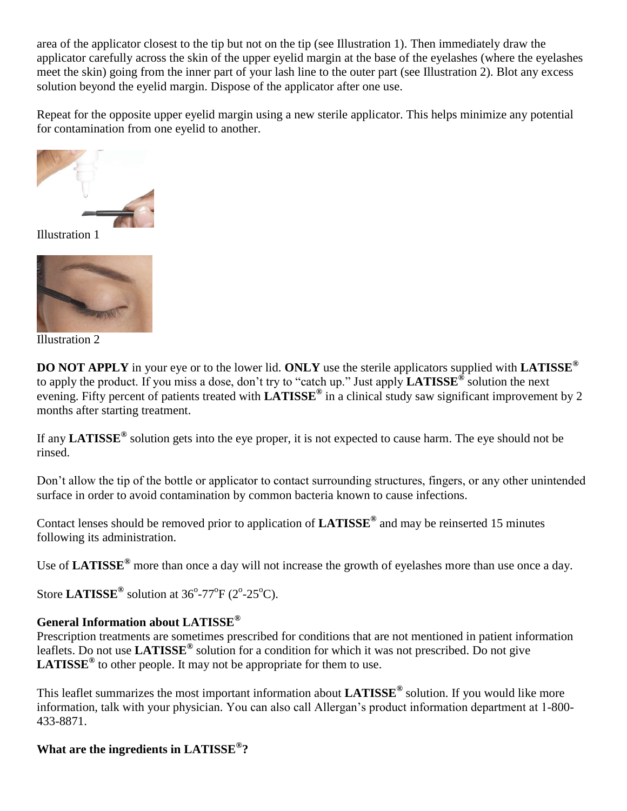area of the applicator closest to the tip but not on the tip (see Illustration 1). Then immediately draw the applicator carefully across the skin of the upper eyelid margin at the base of the eyelashes (where the eyelashes meet the skin) going from the inner part of your lash line to the outer part (see Illustration 2). Blot any excess solution beyond the eyelid margin. Dispose of the applicator after one use.

Repeat for the opposite upper eyelid margin using a new sterile applicator. This helps minimize any potential for contamination from one eyelid to another.



Illustration 1



Illustration 2

**DO NOT APPLY** in your eye or to the lower lid. **ONLY** use the sterile applicators supplied with **LATISSE®** to apply the product. If you miss a dose, don't try to "catch up." Just apply **LATISSE®** solution the next evening. Fifty percent of patients treated with **LATISSE®** in a clinical study saw significant improvement by 2 months after starting treatment.

If any **LATISSE®** solution gets into the eye proper, it is not expected to cause harm. The eye should not be rinsed.

Don't allow the tip of the bottle or applicator to contact surrounding structures, fingers, or any other unintended surface in order to avoid contamination by common bacteria known to cause infections.

Contact lenses should be removed prior to application of **LATISSE®** and may be reinserted 15 minutes following its administration.

Use of **LATISSE®** more than once a day will not increase the growth of eyelashes more than use once a day.

Store LATISSE<sup>®</sup> solution at  $36^{\circ}$ -77<sup>o</sup>F (2<sup>o</sup>-25<sup>o</sup>C).

## **General Information about LATISSE®**

Prescription treatments are sometimes prescribed for conditions that are not mentioned in patient information leaflets. Do not use **LATISSE®** solution for a condition for which it was not prescribed. Do not give **LATISSE®** to other people. It may not be appropriate for them to use.

This leaflet summarizes the most important information about **LATISSE®** solution. If you would like more information, talk with your physician. You can also call Allergan's product information department at 1-800- 433-8871.

## **What are the ingredients in LATISSE® ?**